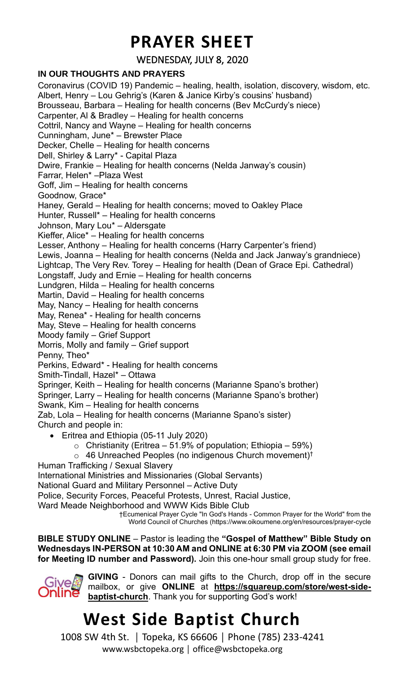## **PRAYER SHEET**

WEDNESDAY, JULY 8, 2020

#### **IN OUR THOUGHTS AND PRAYERS**

Coronavirus (COVID 19) Pandemic – healing, health, isolation, discovery, wisdom, etc. Albert, Henry – Lou Gehrig's (Karen & Janice Kirby's cousins' husband) Brousseau, Barbara – Healing for health concerns (Bev McCurdy's niece) Carpenter, Al & Bradley – Healing for health concerns Cottril, Nancy and Wayne – Healing for health concerns Cunningham, June\* – Brewster Place Decker, Chelle – Healing for health concerns Dell, Shirley & Larry\* - Capital Plaza Dwire, Frankie – Healing for health concerns (Nelda Janway's cousin) Farrar, Helen\* –Plaza West Goff, Jim – Healing for health concerns Goodnow, Grace\* Haney, Gerald – Healing for health concerns; moved to Oakley Place Hunter, Russell\* – Healing for health concerns Johnson, Mary Lou\* – Aldersgate Kieffer, Alice\* – Healing for health concerns Lesser, Anthony – Healing for health concerns (Harry Carpenter's friend) Lewis, Joanna – Healing for health concerns (Nelda and Jack Janway's grandniece) Lightcap, The Very Rev. Torey – Healing for health (Dean of Grace Epi. Cathedral) Longstaff, Judy and Ernie – Healing for health concerns Lundgren, Hilda – Healing for health concerns Martin, David – Healing for health concerns May, Nancy – Healing for health concerns May, Renea\* - Healing for health concerns May, Steve – Healing for health concerns Moody family – Grief Support Morris, Molly and family – Grief support Penny, Theo\* Perkins, Edward\* - Healing for health concerns Smith-Tindall, Hazel\* – Ottawa Springer, Keith – Healing for health concerns (Marianne Spano's brother) Springer, Larry – Healing for health concerns (Marianne Spano's brother) Swank, Kim – Healing for health concerns Zab, Lola – Healing for health concerns (Marianne Spano's sister) Church and people in: • Eritrea and Ethiopia (05-11 July 2020)  $\circ$  Christianity (Eritrea – 51.9% of population; Ethiopia – 59%)  $\circ$  46 Unreached Peoples (no indigenous Church movement)<sup>†</sup> Human Trafficking / Sexual Slavery International Ministries and Missionaries (Global Servants) National Guard and Military Personnel – Active Duty Police, Security Forces, Peaceful Protests, Unrest, Racial Justice, Ward Meade Neighborhood and WWW Kids Bible Club †Ecumenical Prayer Cycle "In God's Hands - Common Prayer for the World" from the

**BIBLE STUDY ONLINE** – Pastor is leading the **"Gospel of Matthew" Bible Study on Wednesdays IN-PERSON at 10:30 AM and ONLINE at 6:30 PM via ZOOM (see email for Meeting ID number and Password).** Join this one-hour small group study for free.



**GIVING** - Donors can mail gifts to the Church, drop off in the secure mailbox, or give **ONLINE** at **[https://squareup.com/store/west-side](https://squareup.com/store/west-side-baptist-church)[baptist-church](https://squareup.com/store/west-side-baptist-church)**. Thank you for supporting God's work!

World Council of Churches (https://www.oikoumene.org/en/resources/prayer-cycle

# **West Side Baptist Church**

1008 SW 4th St. │ Topeka, KS 66606 │ Phone (785) 233-4241 www.wsbctopeka.org │ office@wsbctopeka.org